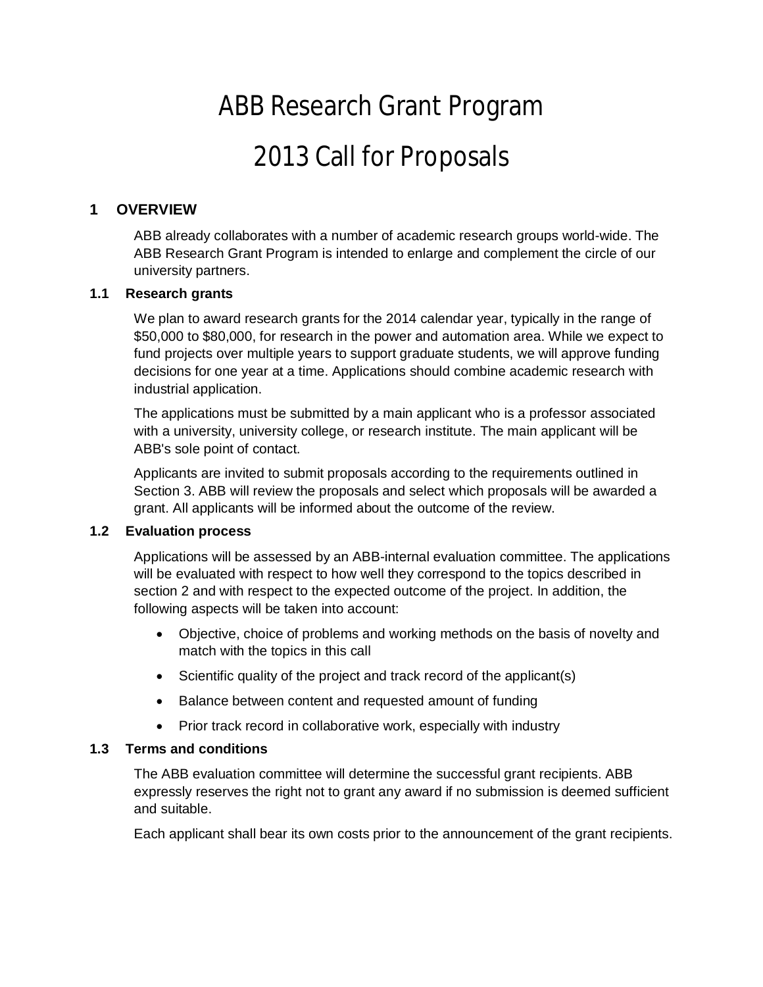# ABB Research Grant Program 2013 Call for Proposals

# **1 OVERVIEW**

ABB already collaborates with a number of academic research groups world-wide. The ABB Research Grant Program is intended to enlarge and complement the circle of our university partners.

## **1.1 Research grants**

We plan to award research grants for the 2014 calendar year, typically in the range of \$50,000 to \$80,000, for research in the power and automation area. While we expect to fund projects over multiple years to support graduate students, we will approve funding decisions for one year at a time. Applications should combine academic research with industrial application.

The applications must be submitted by a main applicant who is a professor associated with a university, university college, or research institute. The main applicant will be ABB's sole point of contact.

Applicants are invited to submit proposals according to the requirements outlined in Section 3. ABB will review the proposals and select which proposals will be awarded a grant. All applicants will be informed about the outcome of the review.

#### **1.2 Evaluation process**

Applications will be assessed by an ABB-internal evaluation committee. The applications will be evaluated with respect to how well they correspond to the topics described in section 2 and with respect to the expected outcome of the project. In addition, the following aspects will be taken into account:

- · Objective, choice of problems and working methods on the basis of novelty and match with the topics in this call
- Scientific quality of the project and track record of the applicant(s)
- · Balance between content and requested amount of funding
- Prior track record in collaborative work, especially with industry

# **1.3 Terms and conditions**

The ABB evaluation committee will determine the successful grant recipients. ABB expressly reserves the right not to grant any award if no submission is deemed sufficient and suitable.

Each applicant shall bear its own costs prior to the announcement of the grant recipients.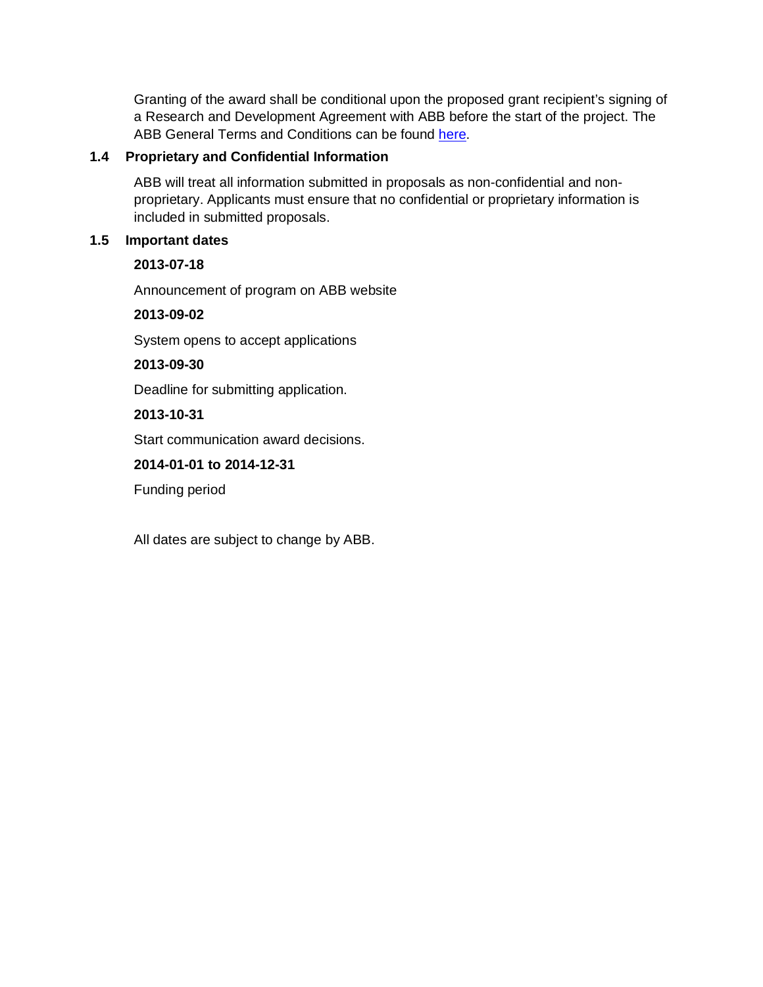Granting of the award shall be conditional upon the proposed grant recipient's signing of a Research and Development Agreement with ABB before the start of the project. The ABB General Terms and Conditions can be found [here](http://www02.abb.com/global/seitp/seitp202.nsf/0/74044b1b54025f36c1257bab003f1d70/$file/ABB+R&D+general+Terms&Conditions1201.pdf).

## **1.4 Proprietary and Confidential Information**

ABB will treat all information submitted in proposals as non-confidential and nonproprietary. Applicants must ensure that no confidential or proprietary information is included in submitted proposals.

#### **1.5 Important dates**

#### **2013-07-18**

Announcement of program on ABB website

#### **2013-09-02**

System opens to accept applications

#### **2013-09-30**

Deadline for submitting application.

#### **2013-10-31**

Start communication award decisions.

#### **2014-01-01 to 2014-12-31**

Funding period

All dates are subject to change by ABB.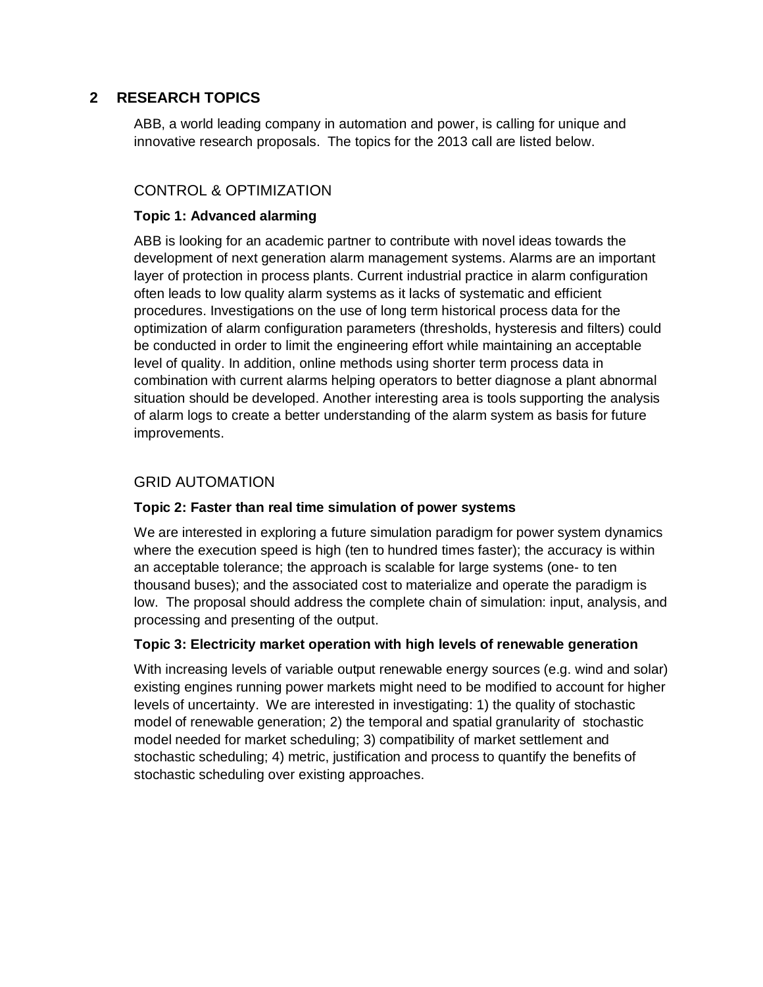# **2 RESEARCH TOPICS**

ABB, a world leading company in automation and power, is calling for unique and innovative research proposals. The topics for the 2013 call are listed below.

# CONTROL & OPTIMIZATION

### **Topic 1: Advanced alarming**

ABB is looking for an academic partner to contribute with novel ideas towards the development of next generation alarm management systems. Alarms are an important layer of protection in process plants. Current industrial practice in alarm configuration often leads to low quality alarm systems as it lacks of systematic and efficient procedures. Investigations on the use of long term historical process data for the optimization of alarm configuration parameters (thresholds, hysteresis and filters) could be conducted in order to limit the engineering effort while maintaining an acceptable level of quality. In addition, online methods using shorter term process data in combination with current alarms helping operators to better diagnose a plant abnormal situation should be developed. Another interesting area is tools supporting the analysis of alarm logs to create a better understanding of the alarm system as basis for future improvements.

# GRID AUTOMATION

#### **Topic 2: Faster than real time simulation of power systems**

We are interested in exploring a future simulation paradigm for power system dynamics where the execution speed is high (ten to hundred times faster); the accuracy is within an acceptable tolerance; the approach is scalable for large systems (one- to ten thousand buses); and the associated cost to materialize and operate the paradigm is low. The proposal should address the complete chain of simulation: input, analysis, and processing and presenting of the output.

#### **Topic 3: Electricity market operation with high levels of renewable generation**

With increasing levels of variable output renewable energy sources (e.g. wind and solar) existing engines running power markets might need to be modified to account for higher levels of uncertainty. We are interested in investigating: 1) the quality of stochastic model of renewable generation; 2) the temporal and spatial granularity of stochastic model needed for market scheduling; 3) compatibility of market settlement and stochastic scheduling; 4) metric, justification and process to quantify the benefits of stochastic scheduling over existing approaches.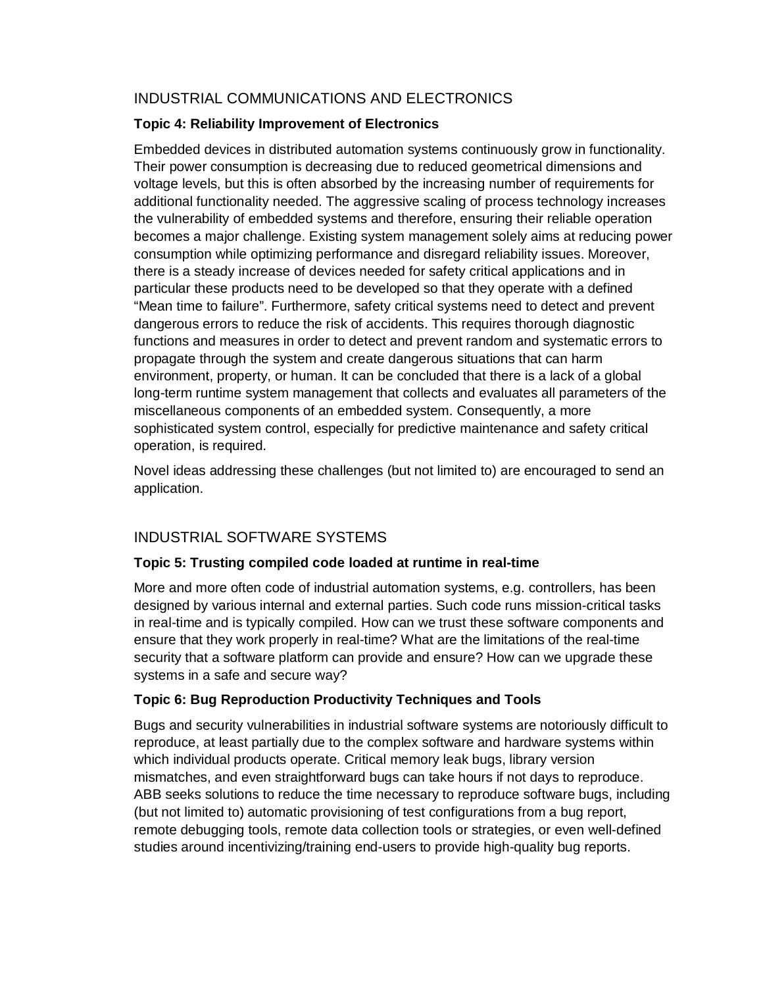# INDUSTRIAL COMMUNICATIONS AND ELECTRONICS

## **Topic 4: Reliability Improvement of Electronics**

Embedded devices in distributed automation systems continuously grow in functionality. Their power consumption is decreasing due to reduced geometrical dimensions and voltage levels, but this is often absorbed by the increasing number of requirements for additional functionality needed. The aggressive scaling of process technology increases the vulnerability of embedded systems and therefore, ensuring their reliable operation becomes a major challenge. Existing system management solely aims at reducing power consumption while optimizing performance and disregard reliability issues. Moreover, there is a steady increase of devices needed for safety critical applications and in particular these products need to be developed so that they operate with a defined "Mean time to failure". Furthermore, safety critical systems need to detect and prevent dangerous errors to reduce the risk of accidents. This requires thorough diagnostic functions and measures in order to detect and prevent random and systematic errors to propagate through the system and create dangerous situations that can harm environment, property, or human. It can be concluded that there is a lack of a global long-term runtime system management that collects and evaluates all parameters of the miscellaneous components of an embedded system. Consequently, a more sophisticated system control, especially for predictive maintenance and safety critical operation, is required.

Novel ideas addressing these challenges (but not limited to) are encouraged to send an application.

# INDUSTRIAL SOFTWARE SYSTEMS

# **Topic 5: Trusting compiled code loaded at runtime in real-time**

More and more often code of industrial automation systems, e.g. controllers, has been designed by various internal and external parties. Such code runs mission-critical tasks in real-time and is typically compiled. How can we trust these software components and ensure that they work properly in real-time? What are the limitations of the real-time security that a software platform can provide and ensure? How can we upgrade these systems in a safe and secure way?

# **Topic 6: Bug Reproduction Productivity Techniques and Tools**

Bugs and security vulnerabilities in industrial software systems are notoriously difficult to reproduce, at least partially due to the complex software and hardware systems within which individual products operate. Critical memory leak bugs, library version mismatches, and even straightforward bugs can take hours if not days to reproduce. ABB seeks solutions to reduce the time necessary to reproduce software bugs, including (but not limited to) automatic provisioning of test configurations from a bug report, remote debugging tools, remote data collection tools or strategies, or even well-defined studies around incentivizing/training end-users to provide high-quality bug reports.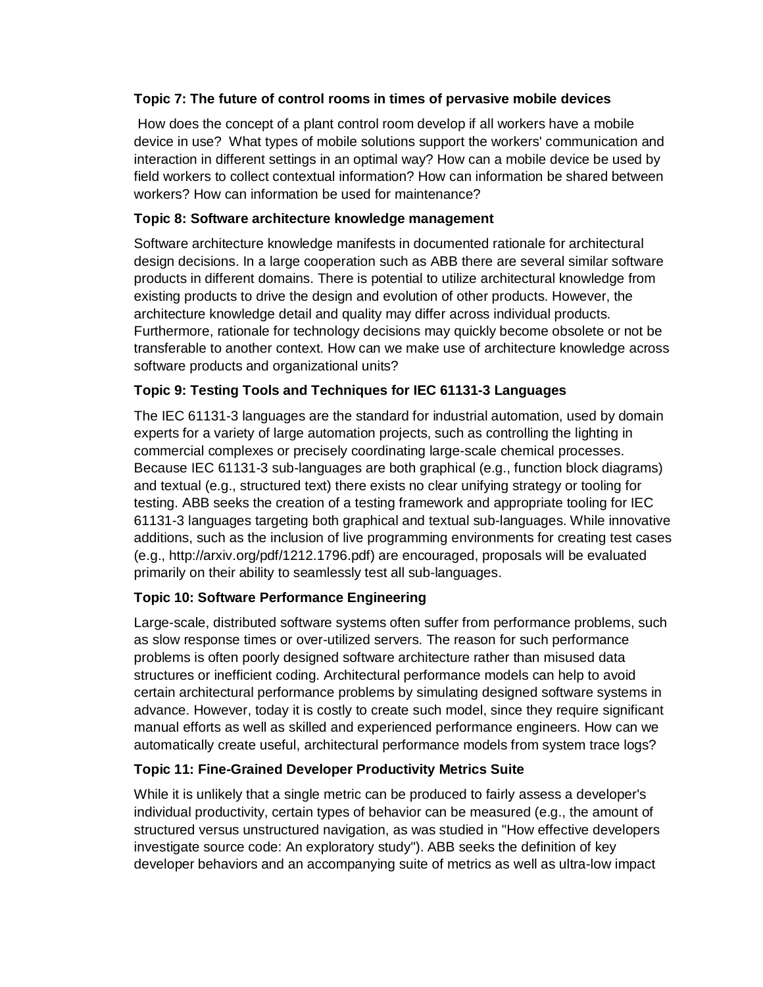## **Topic 7: The future of control rooms in times of pervasive mobile devices**

 How does the concept of a plant control room develop if all workers have a mobile device in use? What types of mobile solutions support the workers' communication and interaction in different settings in an optimal way? How can a mobile device be used by field workers to collect contextual information? How can information be shared between workers? How can information be used for maintenance?

## **Topic 8: Software architecture knowledge management**

Software architecture knowledge manifests in documented rationale for architectural design decisions. In a large cooperation such as ABB there are several similar software products in different domains. There is potential to utilize architectural knowledge from existing products to drive the design and evolution of other products. However, the architecture knowledge detail and quality may differ across individual products. Furthermore, rationale for technology decisions may quickly become obsolete or not be transferable to another context. How can we make use of architecture knowledge across software products and organizational units?

# **Topic 9: Testing Tools and Techniques for IEC 61131-3 Languages**

The IEC 61131-3 languages are the standard for industrial automation, used by domain experts for a variety of large automation projects, such as controlling the lighting in commercial complexes or precisely coordinating large-scale chemical processes. Because IEC 61131-3 sub-languages are both graphical (e.g., function block diagrams) and textual (e.g., structured text) there exists no clear unifying strategy or tooling for testing. ABB seeks the creation of a testing framework and appropriate tooling for IEC 61131-3 languages targeting both graphical and textual sub-languages. While innovative additions, such as the inclusion of live programming environments for creating test cases (e.g., http://arxiv.org/pdf/1212.1796.pdf) are encouraged, proposals will be evaluated primarily on their ability to seamlessly test all sub-languages.

# **Topic 10: Software Performance Engineering**

Large-scale, distributed software systems often suffer from performance problems, such as slow response times or over-utilized servers. The reason for such performance problems is often poorly designed software architecture rather than misused data structures or inefficient coding. Architectural performance models can help to avoid certain architectural performance problems by simulating designed software systems in advance. However, today it is costly to create such model, since they require significant manual efforts as well as skilled and experienced performance engineers. How can we automatically create useful, architectural performance models from system trace logs?

# **Topic 11: Fine-Grained Developer Productivity Metrics Suite**

While it is unlikely that a single metric can be produced to fairly assess a developer's individual productivity, certain types of behavior can be measured (e.g., the amount of structured versus unstructured navigation, as was studied in "How effective developers investigate source code: An exploratory study"). ABB seeks the definition of key developer behaviors and an accompanying suite of metrics as well as ultra-low impact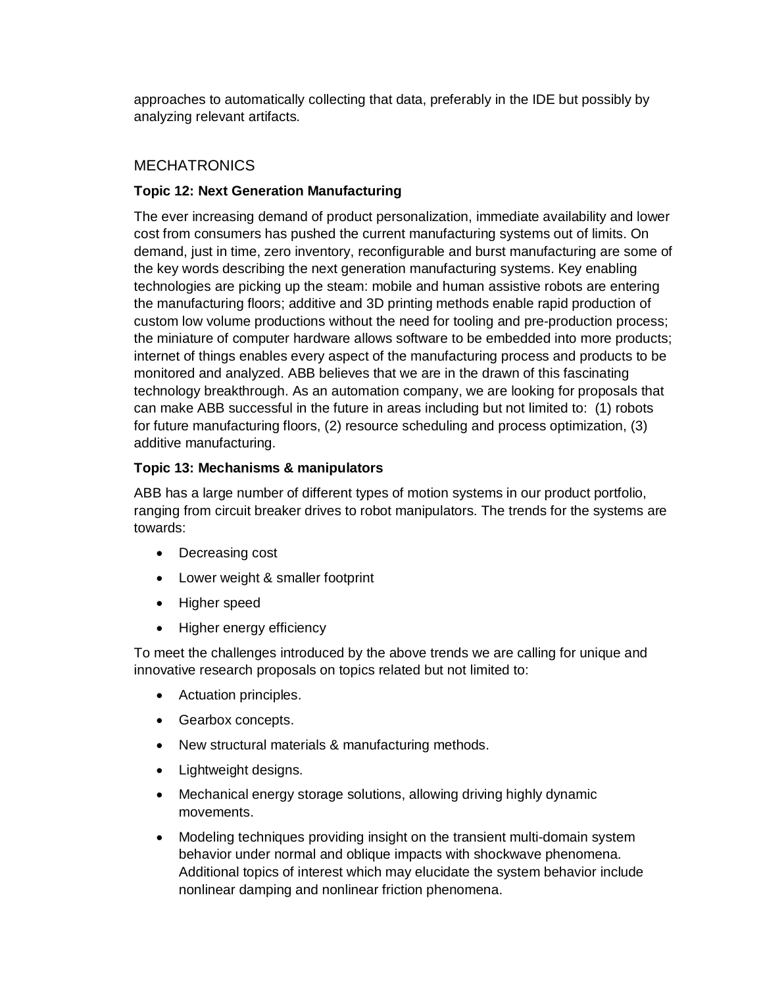approaches to automatically collecting that data, preferably in the IDE but possibly by analyzing relevant artifacts.

## **MECHATRONICS**

## **Topic 12: Next Generation Manufacturing**

The ever increasing demand of product personalization, immediate availability and lower cost from consumers has pushed the current manufacturing systems out of limits. On demand, just in time, zero inventory, reconfigurable and burst manufacturing are some of the key words describing the next generation manufacturing systems. Key enabling technologies are picking up the steam: mobile and human assistive robots are entering the manufacturing floors; additive and 3D printing methods enable rapid production of custom low volume productions without the need for tooling and pre-production process; the miniature of computer hardware allows software to be embedded into more products; internet of things enables every aspect of the manufacturing process and products to be monitored and analyzed. ABB believes that we are in the drawn of this fascinating technology breakthrough. As an automation company, we are looking for proposals that can make ABB successful in the future in areas including but not limited to: (1) robots for future manufacturing floors, (2) resource scheduling and process optimization, (3) additive manufacturing.

## **Topic 13: Mechanisms & manipulators**

ABB has a large number of different types of motion systems in our product portfolio, ranging from circuit breaker drives to robot manipulators. The trends for the systems are towards:

- · Decreasing cost
- · Lower weight & smaller footprint
- · Higher speed
- Higher energy efficiency

To meet the challenges introduced by the above trends we are calling for unique and innovative research proposals on topics related but not limited to:

- · Actuation principles.
- · Gearbox concepts.
- · New structural materials & manufacturing methods.
- · Lightweight designs.
- · Mechanical energy storage solutions, allowing driving highly dynamic movements.
- · Modeling techniques providing insight on the transient multi-domain system behavior under normal and oblique impacts with shockwave phenomena. Additional topics of interest which may elucidate the system behavior include nonlinear damping and nonlinear friction phenomena.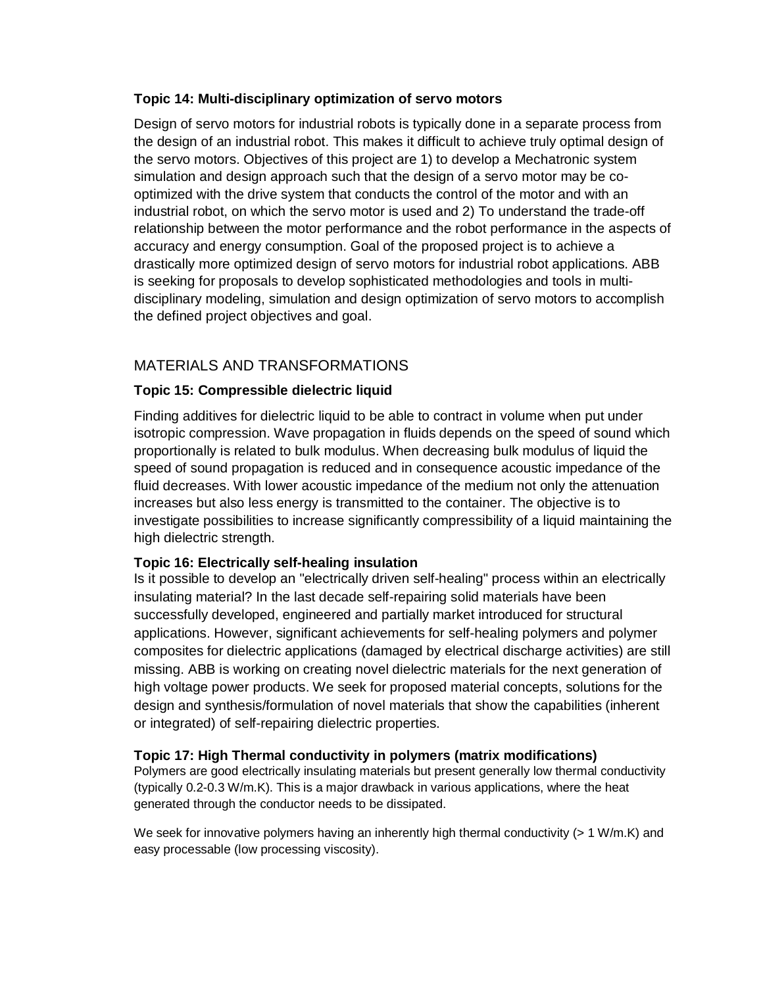#### **Topic 14: Multi-disciplinary optimization of servo motors**

Design of servo motors for industrial robots is typically done in a separate process from the design of an industrial robot. This makes it difficult to achieve truly optimal design of the servo motors. Objectives of this project are 1) to develop a Mechatronic system simulation and design approach such that the design of a servo motor may be cooptimized with the drive system that conducts the control of the motor and with an industrial robot, on which the servo motor is used and 2) To understand the trade-off relationship between the motor performance and the robot performance in the aspects of accuracy and energy consumption. Goal of the proposed project is to achieve a drastically more optimized design of servo motors for industrial robot applications. ABB is seeking for proposals to develop sophisticated methodologies and tools in multidisciplinary modeling, simulation and design optimization of servo motors to accomplish the defined project objectives and goal.

# MATERIALS AND TRANSFORMATIONS

# **Topic 15: Compressible dielectric liquid**

Finding additives for dielectric liquid to be able to contract in volume when put under isotropic compression. Wave propagation in fluids depends on the speed of sound which proportionally is related to bulk modulus. When decreasing bulk modulus of liquid the speed of sound propagation is reduced and in consequence acoustic impedance of the fluid decreases. With lower acoustic impedance of the medium not only the attenuation increases but also less energy is transmitted to the container. The objective is to investigate possibilities to increase significantly compressibility of a liquid maintaining the high dielectric strength.

#### **Topic 16: Electrically self-healing insulation**

Is it possible to develop an "electrically driven self-healing" process within an electrically insulating material? In the last decade self-repairing solid materials have been successfully developed, engineered and partially market introduced for structural applications. However, significant achievements for self-healing polymers and polymer composites for dielectric applications (damaged by electrical discharge activities) are still missing. ABB is working on creating novel dielectric materials for the next generation of high voltage power products. We seek for proposed material concepts, solutions for the design and synthesis/formulation of novel materials that show the capabilities (inherent or integrated) of self-repairing dielectric properties.

#### **Topic 17: High Thermal conductivity in polymers (matrix modifications)**

Polymers are good electrically insulating materials but present generally low thermal conductivity (typically 0.2-0.3 W/m.K). This is a major drawback in various applications, where the heat generated through the conductor needs to be dissipated.

We seek for innovative polymers having an inherently high thermal conductivity (> 1 W/m.K) and easy processable (low processing viscosity).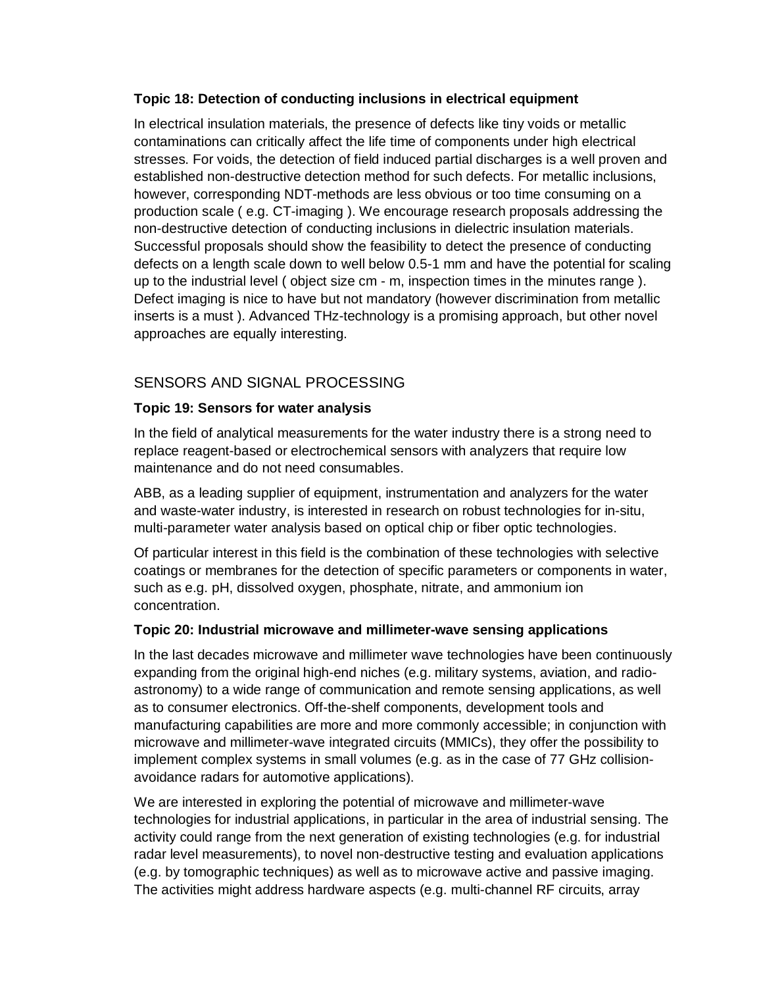#### **Topic 18: Detection of conducting inclusions in electrical equipment**

In electrical insulation materials, the presence of defects like tiny voids or metallic contaminations can critically affect the life time of components under high electrical stresses. For voids, the detection of field induced partial discharges is a well proven and established non-destructive detection method for such defects. For metallic inclusions, however, corresponding NDT-methods are less obvious or too time consuming on a production scale ( e.g. CT-imaging ). We encourage research proposals addressing the non-destructive detection of conducting inclusions in dielectric insulation materials. Successful proposals should show the feasibility to detect the presence of conducting defects on a length scale down to well below 0.5-1 mm and have the potential for scaling up to the industrial level ( object size cm - m, inspection times in the minutes range ). Defect imaging is nice to have but not mandatory (however discrimination from metallic inserts is a must ). Advanced THz-technology is a promising approach, but other novel approaches are equally interesting.

# SENSORS AND SIGNAL PROCESSING

# **Topic 19: Sensors for water analysis**

In the field of analytical measurements for the water industry there is a strong need to replace reagent-based or electrochemical sensors with analyzers that require low maintenance and do not need consumables.

ABB, as a leading supplier of equipment, instrumentation and analyzers for the water and waste-water industry, is interested in research on robust technologies for in-situ, multi-parameter water analysis based on optical chip or fiber optic technologies.

Of particular interest in this field is the combination of these technologies with selective coatings or membranes for the detection of specific parameters or components in water, such as e.g. pH, dissolved oxygen, phosphate, nitrate, and ammonium ion concentration.

#### **Topic 20: Industrial microwave and millimeter-wave sensing applications**

In the last decades microwave and millimeter wave technologies have been continuously expanding from the original high-end niches (e.g. military systems, aviation, and radioastronomy) to a wide range of communication and remote sensing applications, as well as to consumer electronics. Off-the-shelf components, development tools and manufacturing capabilities are more and more commonly accessible; in conjunction with microwave and millimeter-wave integrated circuits (MMICs), they offer the possibility to implement complex systems in small volumes (e.g. as in the case of 77 GHz collisionavoidance radars for automotive applications).

We are interested in exploring the potential of microwave and millimeter-wave technologies for industrial applications, in particular in the area of industrial sensing. The activity could range from the next generation of existing technologies (e.g. for industrial radar level measurements), to novel non-destructive testing and evaluation applications (e.g. by tomographic techniques) as well as to microwave active and passive imaging. The activities might address hardware aspects (e.g. multi-channel RF circuits, array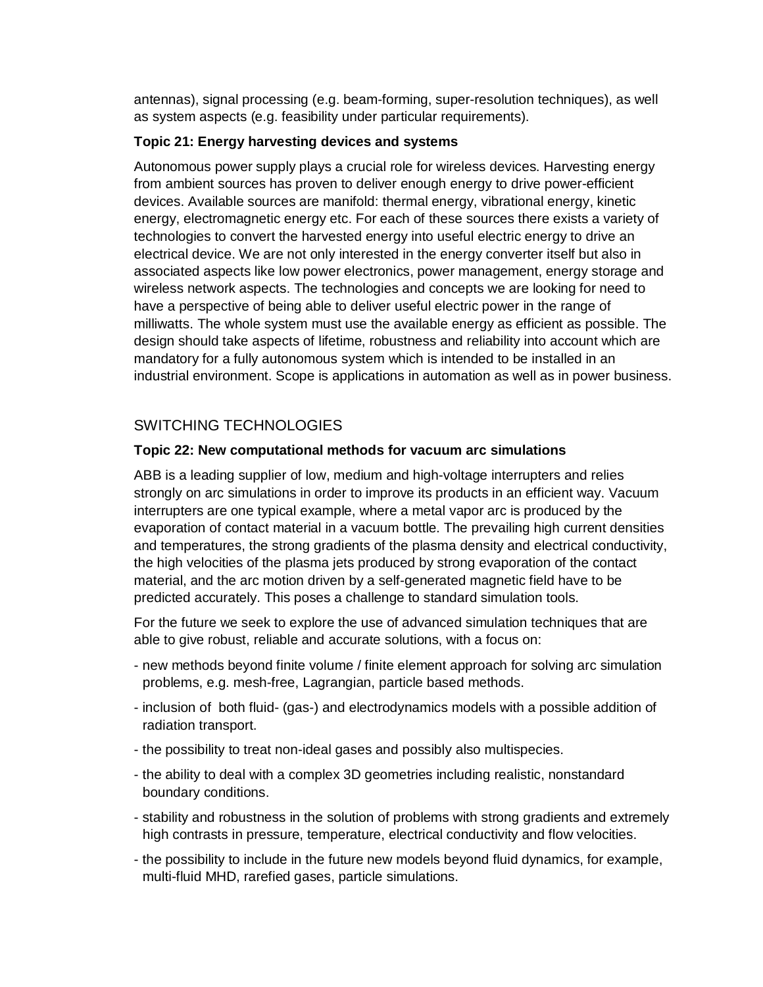antennas), signal processing (e.g. beam-forming, super-resolution techniques), as well as system aspects (e.g. feasibility under particular requirements).

### **Topic 21: Energy harvesting devices and systems**

Autonomous power supply plays a crucial role for wireless devices. Harvesting energy from ambient sources has proven to deliver enough energy to drive power-efficient devices. Available sources are manifold: thermal energy, vibrational energy, kinetic energy, electromagnetic energy etc. For each of these sources there exists a variety of technologies to convert the harvested energy into useful electric energy to drive an electrical device. We are not only interested in the energy converter itself but also in associated aspects like low power electronics, power management, energy storage and wireless network aspects. The technologies and concepts we are looking for need to have a perspective of being able to deliver useful electric power in the range of milliwatts. The whole system must use the available energy as efficient as possible. The design should take aspects of lifetime, robustness and reliability into account which are mandatory for a fully autonomous system which is intended to be installed in an industrial environment. Scope is applications in automation as well as in power business.

# SWITCHING TECHNOLOGIES

## **Topic 22: New computational methods for vacuum arc simulations**

ABB is a leading supplier of low, medium and high-voltage interrupters and relies strongly on arc simulations in order to improve its products in an efficient way. Vacuum interrupters are one typical example, where a metal vapor arc is produced by the evaporation of contact material in a vacuum bottle. The prevailing high current densities and temperatures, the strong gradients of the plasma density and electrical conductivity, the high velocities of the plasma jets produced by strong evaporation of the contact material, and the arc motion driven by a self-generated magnetic field have to be predicted accurately. This poses a challenge to standard simulation tools.

For the future we seek to explore the use of advanced simulation techniques that are able to give robust, reliable and accurate solutions, with a focus on:

- new methods beyond finite volume / finite element approach for solving arc simulation problems, e.g. mesh-free, Lagrangian, particle based methods.
- inclusion of both fluid- (gas-) and electrodynamics models with a possible addition of radiation transport.
- the possibility to treat non-ideal gases and possibly also multispecies.
- the ability to deal with a complex 3D geometries including realistic, nonstandard boundary conditions.
- stability and robustness in the solution of problems with strong gradients and extremely high contrasts in pressure, temperature, electrical conductivity and flow velocities.
- the possibility to include in the future new models beyond fluid dynamics, for example, multi-fluid MHD, rarefied gases, particle simulations.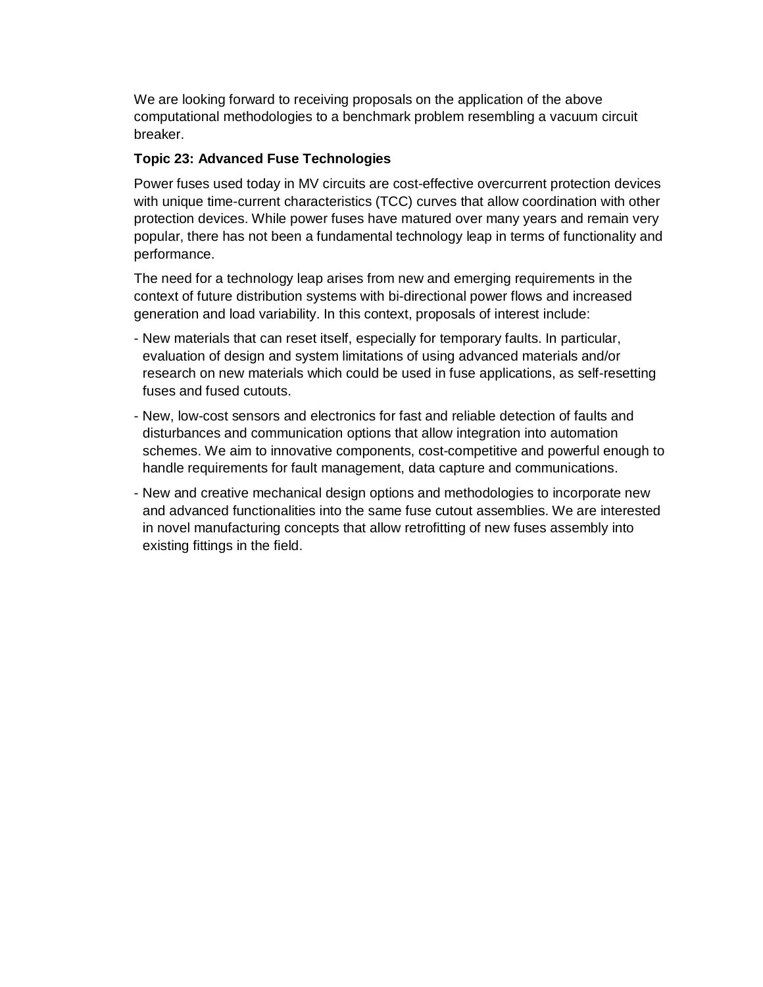We are looking forward to receiving proposals on the application of the above computational methodologies to a benchmark problem resembling a vacuum circuit breaker.

#### **Topic 23: Advanced Fuse Technologies**

Power fuses used today in MV circuits are cost-effective overcurrent protection devices with unique time-current characteristics (TCC) curves that allow coordination with other protection devices. While power fuses have matured over many years and remain very popular, there has not been a fundamental technology leap in terms of functionality and performance.

The need for a technology leap arises from new and emerging requirements in the context of future distribution systems with bi-directional power flows and increased generation and load variability. In this context, proposals of interest include:

- New materials that can reset itself, especially for temporary faults. In particular, evaluation of design and system limitations of using advanced materials and/or research on new materials which could be used in fuse applications, as self-resetting fuses and fused cutouts.
- New, low-cost sensors and electronics for fast and reliable detection of faults and disturbances and communication options that allow integration into automation schemes. We aim to innovative components, cost-competitive and powerful enough to handle requirements for fault management, data capture and communications.
- New and creative mechanical design options and methodologies to incorporate new and advanced functionalities into the same fuse cutout assemblies. We are interested in novel manufacturing concepts that allow retrofitting of new fuses assembly into existing fittings in the field.